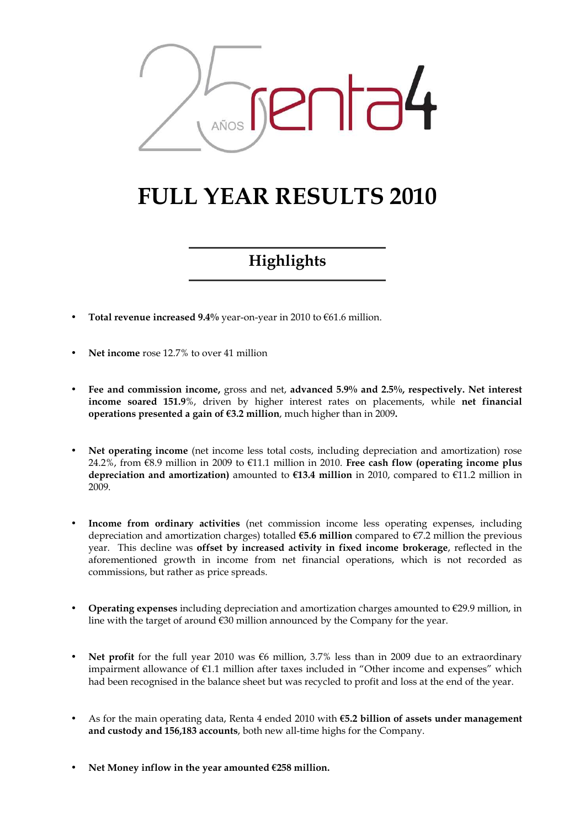

# FULL YEAR RESULTS 2010

# Highlights

- Total revenue increased 9.4% year-on-year in 2010 to  $€61.6$  million.
- Net income rose 12.7% to over 41 million
- Fee and commission income, gross and net, advanced 5.9% and 2.5%, respectively. Net interest income soared 151.9%, driven by higher interest rates on placements, while net financial operations presented a gain of  $63.2$  million, much higher than in 2009.
- Net operating income (net income less total costs, including depreciation and amortization) rose 24.2%, from  $\epsilon$ 8.9 million in 2009 to  $\epsilon$ 11.1 million in 2010. Free cash flow (operating income plus depreciation and amortization) amounted to  $E13.4$  million in 2010, compared to  $E11.2$  million in 2009.
- Income from ordinary activities (net commission income less operating expenses, including depreciation and amortization charges) totalled  $65.6$  million compared to  $67.2$  million the previous year. This decline was offset by increased activity in fixed income brokerage, reflected in the aforementioned growth in income from net financial operations, which is not recorded as commissions, but rather as price spreads.
- **Operating expenses** including depreciation and amortization charges amounted to  $\epsilon$ 29.9 million, in line with the target of around €30 million announced by the Company for the year.
- Net profit for the full year 2010 was €6 million, 3.7% less than in 2009 due to an extraordinary impairment allowance of €1.1 million after taxes included in "Other income and expenses" which had been recognised in the balance sheet but was recycled to profit and loss at the end of the year.
- As for the main operating data, Renta 4 ended 2010 with €5.2 billion of assets under management and custody and 156,183 accounts, both new all-time highs for the Company.
- Net Money inflow in the year amounted  $E$ 258 million.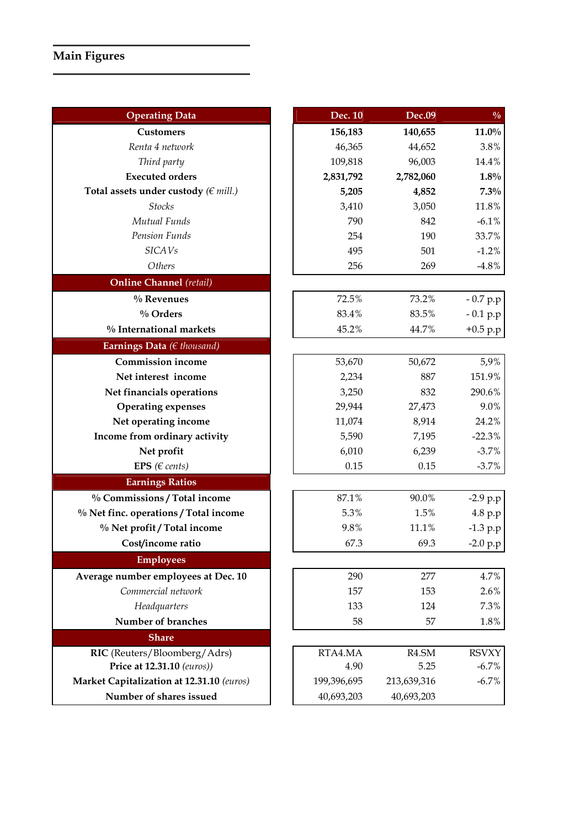# Main Figures

| <b>Operating Data</b>                     | Dec. 10     | <b>Dec.09</b> | $\frac{0}{0}$ |
|-------------------------------------------|-------------|---------------|---------------|
| <b>Customers</b>                          | 156,183     | 140,655       | $11.0\%$      |
| Renta 4 network                           | 46,365      | 44,652        | 3.8%          |
| Third party                               | 109,818     | 96,003        | 14.4%         |
| <b>Executed orders</b>                    | 2,831,792   | 2,782,060     | $1.8\%$       |
| Total assets under custody ( $\in$ mill.) | 5,205       | 4,852         | 7.3%          |
| <b>Stocks</b>                             | 3,410       | 3,050         | 11.8%         |
| Mutual Funds                              | 790         | 842           | $-6.1\%$      |
| Pension Funds                             | 254         | 190           | 33.7%         |
| <b>SICAVs</b>                             | 495         | 501           | $-1.2%$       |
| Others                                    | 256         | 269           | $-4.8\%$      |
| <b>Online Channel</b> (retail)            |             |               |               |
| % Revenues                                | 72.5%       | 73.2%         | $-0.7 p.p$    |
| % Orders                                  | 83.4%       | 83.5%         | $-0.1 p.p$    |
| % International markets                   | 45.2%       | 44.7%         | $+0.5 p.p$    |
| Earnings Data ( $\in$ thousand)           |             |               |               |
| <b>Commission income</b>                  | 53,670      | 50,672        | 5,9%          |
| Net interest income                       | 2,234       | 887           | 151.9%        |
| Net financials operations                 | 3,250       | 832           | 290.6%        |
| <b>Operating expenses</b>                 | 29,944      | 27,473        | 9.0%          |
| Net operating income                      | 11,074      | 8,914         | 24.2%         |
| Income from ordinary activity             | 5,590       | 7,195         | $-22.3%$      |
| Net profit                                | 6,010       | 6,239         | $-3.7%$       |
| EPS ( $\in$ cents)                        | 0.15        | 0.15          | $-3.7%$       |
| <b>Earnings Ratios</b>                    |             |               |               |
| % Commissions / Total income              | 87.1%       | 90.0%         | $-2.9 p.p$    |
| % Net finc. operations / Total income     | 5.3%        | 1.5%          | 4.8 p.p       |
| % Net profit / Total income               | 9.8%        | 11.1%         | $-1.3 p.p$    |
| Cost/income ratio                         | 67.3        | 69.3          | $-2.0 p.p$    |
| <b>Employees</b>                          |             |               |               |
| Average number employees at Dec. 10       | 290         | 277           | 4.7%          |
| Commercial network                        | 157         | 153           | 2.6%          |
| Headquarters                              | 133         | 124           | 7.3%          |
| Number of branches                        | 58          | 57            | $1.8\%$       |
| <b>Share</b>                              |             |               |               |
| RIC (Reuters/Bloomberg/Adrs)              | RTA4.MA     | R4.SM         | <b>RSVXY</b>  |
| Price at 12.31.10 (euros))                | 4.90        | 5.25          | $-6.7%$       |
| Market Capitalization at 12.31.10 (euros) | 199,396,695 | 213,639,316   | $-6.7%$       |
| Number of shares issued                   | 40,693,203  | 40,693,203    |               |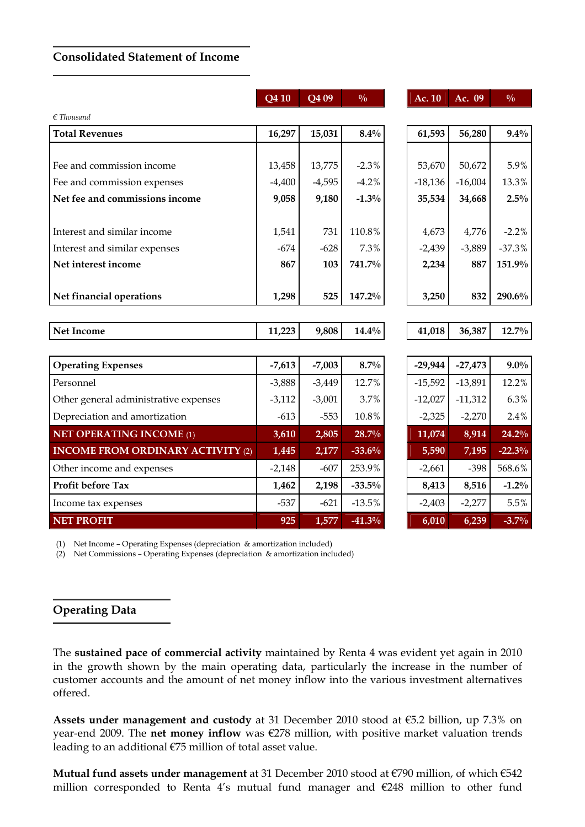#### Consolidated Statement of Income

|                                          | Q4 10    | $\overline{Q}409$ | $\frac{0}{0}$ | Ac. 10    | Ac. 09    | $\frac{0}{0}$ |
|------------------------------------------|----------|-------------------|---------------|-----------|-----------|---------------|
| $\epsilon$ Thousand                      |          |                   |               |           |           |               |
| <b>Total Revenues</b>                    | 16,297   | 15,031            | $8.4\%$       | 61,593    | 56,280    | $9.4\%$       |
|                                          |          |                   |               |           |           |               |
| Fee and commission income                | 13,458   | 13,775            | $-2.3%$       | 53,670    | 50,672    | 5.9%          |
| Fee and commission expenses              | $-4,400$ | $-4,595$          | $-4.2%$       | $-18,136$ | $-16,004$ | 13.3%         |
| Net fee and commissions income           | 9,058    | 9,180             | $-1.3%$       | 35,534    | 34,668    | $2.5\%$       |
| Interest and similar income              | 1,541    | 731               | 110.8%        | 4,673     | 4,776     | $-2.2%$       |
| Interest and similar expenses            | $-674$   | $-628$            | 7.3%          | $-2,439$  | $-3,889$  | $-37.3%$      |
| Net interest income                      | 867      | 103               | 741.7%        | 2,234     | 887       | 151.9%        |
| Net financial operations                 | 1,298    | 525               | 147.2%        | 3,250     | 832       | 290.6%        |
|                                          |          |                   |               |           |           |               |
| <b>Net Income</b>                        | 11,223   | 9,808             | $14.4\%$      | 41,018    | 36,387    | $12.7\%$      |
|                                          |          |                   |               |           |           |               |
| <b>Operating Expenses</b>                | $-7,613$ | $-7,003$          | 8.7%          | $-29,944$ | $-27,473$ | $9.0\%$       |
| Personnel                                | $-3,888$ | $-3,449$          | 12.7%         | $-15,592$ | $-13,891$ | 12.2%         |
| Other general administrative expenses    | $-3,112$ | $-3,001$          | 3.7%          | $-12,027$ | $-11,312$ | 6.3%          |
| Depreciation and amortization            | $-613$   | $-553$            | 10.8%         | $-2,325$  | $-2,270$  | 2.4%          |
| <b>NET OPERATING INCOME (1)</b>          | 3,610    | 2,805             | 28.7%         | 11,074    | 8,914     | 24.2%         |
| <b>INCOME FROM ORDINARY ACTIVITY (2)</b> | 1,445    | 2,177             | $-33.6%$      | 5,590     | 7,195     | $-22.3%$      |
| Other income and expenses                | $-2,148$ | $-607$            | 253.9%        | $-2,661$  | $-398$    | 568.6%        |
| Profit before Tax                        | 1,462    | 2,198             | $-33.5\%$     | 8,413     | 8,516     | $-1.2%$       |
| Income tax expenses                      | $-537$   | $-621$            | $-13.5%$      | $-2,403$  | $-2,277$  | 5.5%          |
| <b>NET PROFIT</b>                        | 925      | 1,577             | $-41.3%$      | 6,010     | 6,239     | $-3.7%$       |

(1) Net Income – Operating Expenses (depreciation & amortization included)

(2) Net Commissions – Operating Expenses (depreciation & amortization included)

#### Operating Data

The sustained pace of commercial activity maintained by Renta 4 was evident yet again in 2010 in the growth shown by the main operating data, particularly the increase in the number of customer accounts and the amount of net money inflow into the various investment alternatives offered.

Assets under management and custody at 31 December 2010 stood at €5.2 billion, up 7.3% on year-end 2009. The net money inflow was €278 million, with positive market valuation trends leading to an additional €75 million of total asset value.

Mutual fund assets under management at 31 December 2010 stood at €790 million, of which €542 million corresponded to Renta 4's mutual fund manager and €248 million to other fund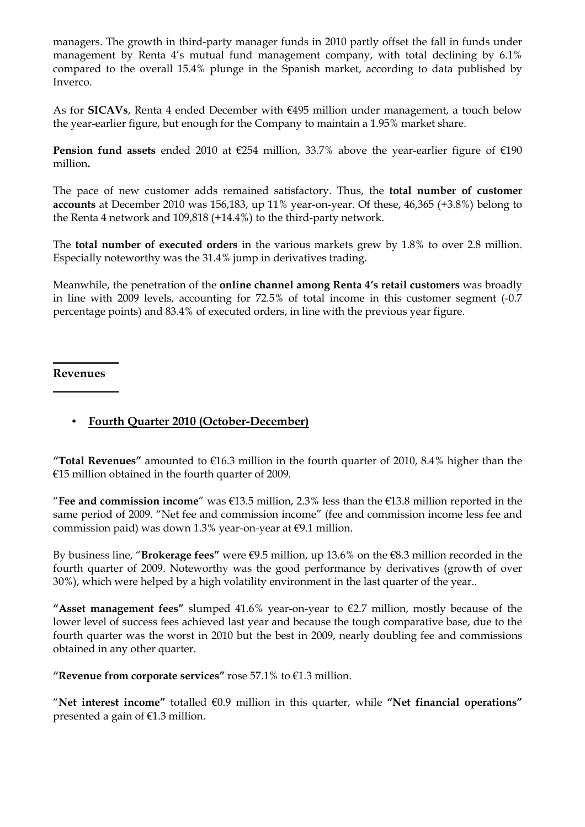managers. The growth in third-party manager funds in 2010 partly offset the fall in funds under management by Renta 4's mutual fund management company, with total declining by 6.1% compared to the overall 15.4% plunge in the Spanish market, according to data published by Inverco.

As for SICAVs, Renta 4 ended December with €495 million under management, a touch below the year-earlier figure, but enough for the Company to maintain a 1.95% market share.

**Pension fund assets** ended 2010 at  $\epsilon$ 254 million, 33.7% above the year-earlier figure of  $\epsilon$ 190 million.

The pace of new customer adds remained satisfactory. Thus, the total number of customer accounts at December 2010 was 156,183, up 11% year-on-year. Of these, 46,365 (+3.8%) belong to the Renta 4 network and 109,818 (+14.4%) to the third-party network.

The total number of executed orders in the various markets grew by 1.8% to over 2.8 million. Especially noteworthy was the 31.4% jump in derivatives trading.

Meanwhile, the penetration of the online channel among Renta 4's retail customers was broadly in line with 2009 levels, accounting for 72.5% of total income in this customer segment (-0.7 percentage points) and 83.4% of executed orders, in line with the previous year figure.

#### Revenues

# • Fourth Quarter 2010 (October-December)

"Total Revenues" amounted to  $\epsilon$ 16.3 million in the fourth quarter of 2010, 8.4% higher than the €15 million obtained in the fourth quarter of 2009.

"Fee and commission income" was  $\epsilon$ 13.5 million, 2.3% less than the  $\epsilon$ 13.8 million reported in the same period of 2009. "Net fee and commission income" (fee and commission income less fee and commission paid) was down 1.3% year-on-year at  $\epsilon$ 9.1 million.

By business line, "Brokerage fees" were  $\epsilon$ 9.5 million, up 13.6% on the  $\epsilon$ 8.3 million recorded in the fourth quarter of 2009. Noteworthy was the good performance by derivatives (growth of over 30%), which were helped by a high volatility environment in the last quarter of the year..

"Asset management fees" slumped 41.6% year-on-year to  $\epsilon$ 2.7 million, mostly because of the lower level of success fees achieved last year and because the tough comparative base, due to the fourth quarter was the worst in 2010 but the best in 2009, nearly doubling fee and commissions obtained in any other quarter.

"Revenue from corporate services" rose 57.1% to  $E1.3$  million.

"Net interest income" totalled  $60.9$  million in this quarter, while "Net financial operations" presented a gain of €1.3 million.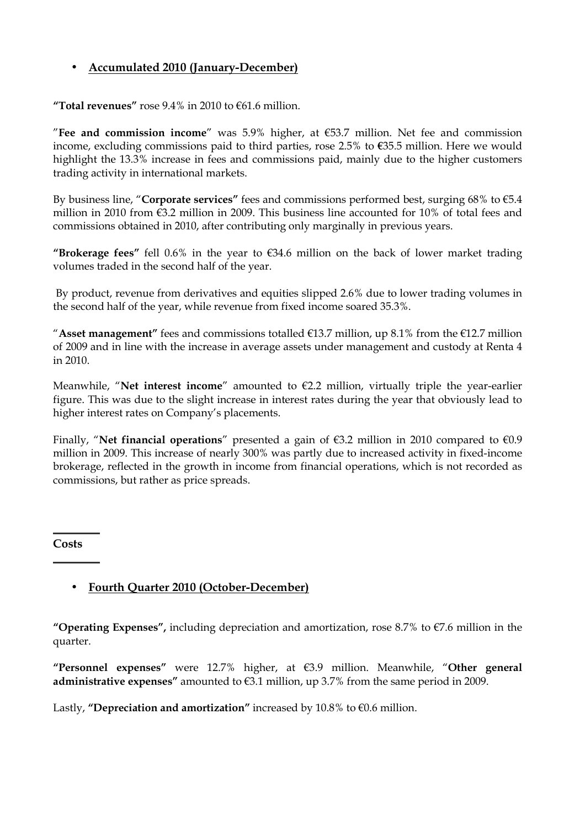# • Accumulated 2010 (January-December)

"Total revenues" rose  $9.4\%$  in 2010 to  $61.6$  million.

"Fee and commission income" was 5.9% higher, at  $€53.7$  million. Net fee and commission income, excluding commissions paid to third parties, rose 2.5% to €35.5 million. Here we would highlight the 13.3% increase in fees and commissions paid, mainly due to the higher customers trading activity in international markets.

By business line, "Corporate services" fees and commissions performed best, surging  $68\%$  to  $65.4$ million in 2010 from €3.2 million in 2009. This business line accounted for 10% of total fees and commissions obtained in 2010, after contributing only marginally in previous years.

"Brokerage fees" fell 0.6% in the year to  $\epsilon$ 34.6 million on the back of lower market trading volumes traded in the second half of the year.

 By product, revenue from derivatives and equities slipped 2.6% due to lower trading volumes in the second half of the year, while revenue from fixed income soared 35.3%.

"Asset management" fees and commissions totalled  $\epsilon$ 13.7 million, up 8.1% from the  $\epsilon$ 12.7 million of 2009 and in line with the increase in average assets under management and custody at Renta 4 in 2010.

Meanwhile, "Net interest income" amounted to  $E$ 2.2 million, virtually triple the year-earlier figure. This was due to the slight increase in interest rates during the year that obviously lead to higher interest rates on Company's placements.

Finally, "Net financial operations" presented a gain of  $\epsilon$ 3.2 million in 2010 compared to  $\epsilon$ 0.9 million in 2009. This increase of nearly 300% was partly due to increased activity in fixed-income brokerage, reflected in the growth in income from financial operations, which is not recorded as commissions, but rather as price spreads.

**Costs** 

## • Fourth Quarter 2010 (October-December)

"Operating Expenses", including depreciation and amortization, rose 8.7% to  $\epsilon$ 7.6 million in the quarter.

"Personnel expenses" were 12.7% higher, at €3.9 million. Meanwhile, "Other general administrative expenses" amounted to  $€3.1$  million, up 3.7% from the same period in 2009.

Lastly, "Depreciation and amortization" increased by 10.8% to  $€0.6$  million.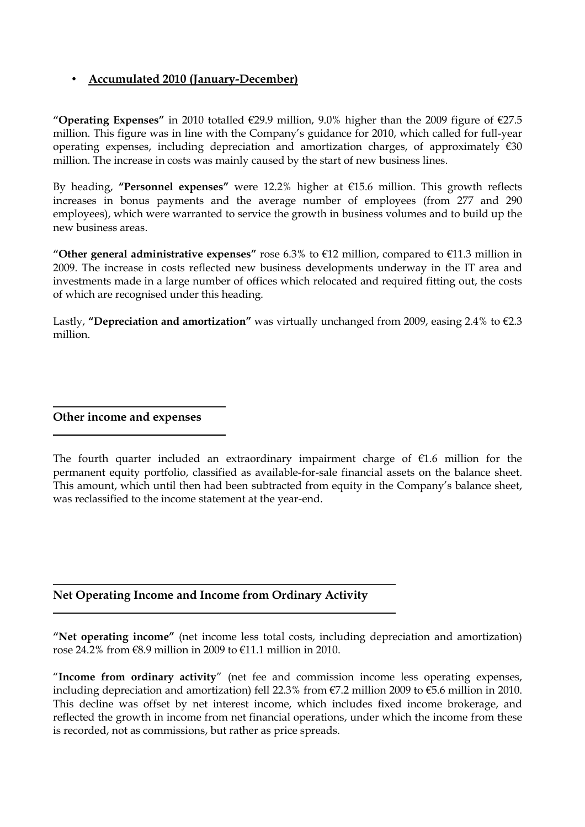## • Accumulated 2010 (January-December)

"Operating Expenses" in 2010 totalled  $\epsilon$ 29.9 million, 9.0% higher than the 2009 figure of  $\epsilon$ 27.5 million. This figure was in line with the Company's guidance for 2010, which called for full-year operating expenses, including depreciation and amortization charges, of approximately  $\epsilon$ 30 million. The increase in costs was mainly caused by the start of new business lines.

By heading, "Personnel expenses" were 12.2% higher at €15.6 million. This growth reflects increases in bonus payments and the average number of employees (from 277 and 290 employees), which were warranted to service the growth in business volumes and to build up the new business areas.

"Other general administrative expenses" rose 6.3% to  $E12$  million, compared to  $E11.3$  million in 2009. The increase in costs reflected new business developments underway in the IT area and investments made in a large number of offices which relocated and required fitting out, the costs of which are recognised under this heading.

Lastly, "Depreciation and amortization" was virtually unchanged from 2009, easing 2.4% to  $\epsilon$ 2.3 million.

Other income and expenses

The fourth quarter included an extraordinary impairment charge of  $E1.6$  million for the permanent equity portfolio, classified as available-for-sale financial assets on the balance sheet. This amount, which until then had been subtracted from equity in the Company's balance sheet, was reclassified to the income statement at the year-end.

## Net Operating Income and Income from Ordinary Activity

"Net operating income" (net income less total costs, including depreciation and amortization) rose 24.2% from €8.9 million in 2009 to €11.1 million in 2010.

"Income from ordinary activity" (net fee and commission income less operating expenses, including depreciation and amortization) fell 22.3% from €7.2 million 2009 to €5.6 million in 2010. This decline was offset by net interest income, which includes fixed income brokerage, and reflected the growth in income from net financial operations, under which the income from these is recorded, not as commissions, but rather as price spreads.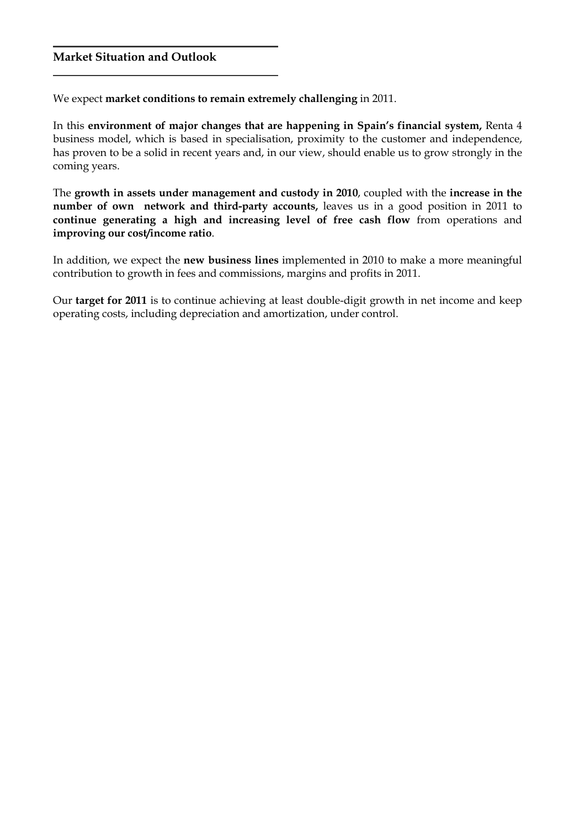#### Market Situation and Outlook

We expect market conditions to remain extremely challenging in 2011.

In this environment of major changes that are happening in Spain's financial system, Renta 4 business model, which is based in specialisation, proximity to the customer and independence, has proven to be a solid in recent years and, in our view, should enable us to grow strongly in the coming years.

The growth in assets under management and custody in 2010, coupled with the increase in the number of own network and third-party accounts, leaves us in a good position in 2011 to continue generating a high and increasing level of free cash flow from operations and improving our cost/income ratio.

In addition, we expect the new business lines implemented in 2010 to make a more meaningful contribution to growth in fees and commissions, margins and profits in 2011.

Our target for 2011 is to continue achieving at least double-digit growth in net income and keep operating costs, including depreciation and amortization, under control.